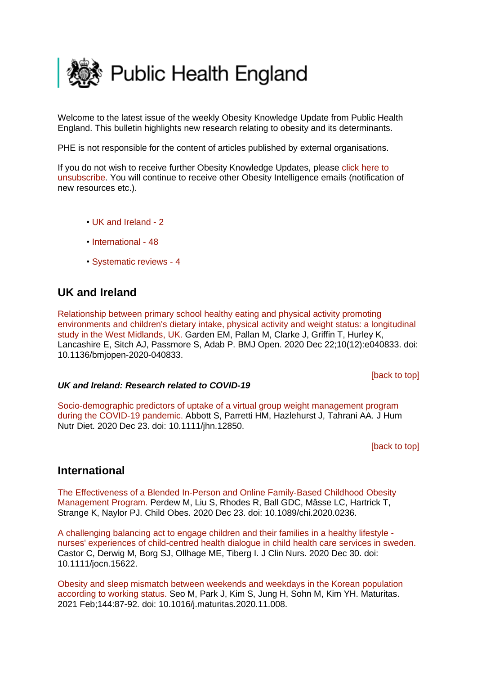<span id="page-0-2"></span>

Welcome to the latest issue of the weekly Obesity Knowledge Update from Public Health England. This bulletin highlights new research relating to obesity and its determinants.

PHE is not responsible for the content of articles published by external organisations.

If you do not wish to receive further Obesity Knowledge Updates, please [click here to](mailto:ObesityIntelligence@phe.gov.uk?subject=Unsubscribe%20from%20Knowledge%20Update%20mailing%20list)  [unsubscribe.](mailto:ObesityIntelligence@phe.gov.uk?subject=Unsubscribe%20from%20Knowledge%20Update%20mailing%20list) You will continue to receive other Obesity Intelligence emails (notification of new resources etc.).

- • [UK and Ireland -](#page-0-0) 2
- [International -](#page-0-1) 48
- [Systematic reviews -](#page-4-0) 4

# <span id="page-0-0"></span>**UK and Ireland**

[Relationship between primary school healthy eating and physical activity promoting](https://eur01.safelinks.protection.outlook.com/?url=https%3A%2F%2Fpubmed.ncbi.nlm.nih.gov%2F33371029%2F&data=04%7C01%7CMaggie.Graham%40phe.gov.uk%7C802d34b5f9f84b8b50d108d8b157083b%7Cee4e14994a354b2ead475f3cf9de8666%7C0%7C0%7C637454334640599370%7CUnknown%7CTWFpbGZsb3d8eyJWIjoiMC4wLjAwMDAiLCJQIjoiV2luMzIiLCJBTiI6Ik1haWwiLCJXVCI6Mn0%3D%7C1000&sdata=U0RkkwjJsiJU8X3KnM2RM5U6dSMo63fjI65TPcKFSPs%3D&reserved=0)  [environments and children's dietary intake, physical activity and weight status: a longitudinal](https://eur01.safelinks.protection.outlook.com/?url=https%3A%2F%2Fpubmed.ncbi.nlm.nih.gov%2F33371029%2F&data=04%7C01%7CMaggie.Graham%40phe.gov.uk%7C802d34b5f9f84b8b50d108d8b157083b%7Cee4e14994a354b2ead475f3cf9de8666%7C0%7C0%7C637454334640599370%7CUnknown%7CTWFpbGZsb3d8eyJWIjoiMC4wLjAwMDAiLCJQIjoiV2luMzIiLCJBTiI6Ik1haWwiLCJXVCI6Mn0%3D%7C1000&sdata=U0RkkwjJsiJU8X3KnM2RM5U6dSMo63fjI65TPcKFSPs%3D&reserved=0)  [study in the West Midlands, UK. G](https://eur01.safelinks.protection.outlook.com/?url=https%3A%2F%2Fpubmed.ncbi.nlm.nih.gov%2F33371029%2F&data=04%7C01%7CMaggie.Graham%40phe.gov.uk%7C802d34b5f9f84b8b50d108d8b157083b%7Cee4e14994a354b2ead475f3cf9de8666%7C0%7C0%7C637454334640599370%7CUnknown%7CTWFpbGZsb3d8eyJWIjoiMC4wLjAwMDAiLCJQIjoiV2luMzIiLCJBTiI6Ik1haWwiLCJXVCI6Mn0%3D%7C1000&sdata=U0RkkwjJsiJU8X3KnM2RM5U6dSMo63fjI65TPcKFSPs%3D&reserved=0)arden EM, Pallan M, Clarke J, Griffin T, Hurley K, Lancashire E, Sitch AJ, Passmore S, Adab P. BMJ Open. 2020 Dec 22;10(12):e040833. doi: 10.1136/bmjopen-2020-040833.

[\[back to top\]](#page-0-2)

### *UK and Ireland: Research related to COVID-19*

[Socio-demographic predictors of uptake of a virtual group weight management program](https://eur01.safelinks.protection.outlook.com/?url=https%3A%2F%2Fpubmed.ncbi.nlm.nih.gov%2F33368737%2F&data=04%7C01%7CMaggie.Graham%40phe.gov.uk%7C802d34b5f9f84b8b50d108d8b157083b%7Cee4e14994a354b2ead475f3cf9de8666%7C0%7C0%7C637454334640649345%7CUnknown%7CTWFpbGZsb3d8eyJWIjoiMC4wLjAwMDAiLCJQIjoiV2luMzIiLCJBTiI6Ik1haWwiLCJXVCI6Mn0%3D%7C1000&sdata=WuYrPgKMgcwSu51UTQCm1pdfKU%2BZCgwpcvi6wDVcsiU%3D&reserved=0)  [during the COVID-19 pandemic. A](https://eur01.safelinks.protection.outlook.com/?url=https%3A%2F%2Fpubmed.ncbi.nlm.nih.gov%2F33368737%2F&data=04%7C01%7CMaggie.Graham%40phe.gov.uk%7C802d34b5f9f84b8b50d108d8b157083b%7Cee4e14994a354b2ead475f3cf9de8666%7C0%7C0%7C637454334640649345%7CUnknown%7CTWFpbGZsb3d8eyJWIjoiMC4wLjAwMDAiLCJQIjoiV2luMzIiLCJBTiI6Ik1haWwiLCJXVCI6Mn0%3D%7C1000&sdata=WuYrPgKMgcwSu51UTQCm1pdfKU%2BZCgwpcvi6wDVcsiU%3D&reserved=0)bbott S, Parretti HM, Hazlehurst J, Tahrani AA. J Hum Nutr Diet. 2020 Dec 23. doi: 10.1111/jhn.12850.

[\[back to top\]](#page-0-2)

## <span id="page-0-1"></span>**International**

[The Effectiveness of a Blended In-Person and Online Family-Based Childhood Obesity](https://eur01.safelinks.protection.outlook.com/?url=https%3A%2F%2Fpubmed.ncbi.nlm.nih.gov%2F33370164%2F&data=04%7C01%7CMaggie.Graham%40phe.gov.uk%7C802d34b5f9f84b8b50d108d8b157083b%7Cee4e14994a354b2ead475f3cf9de8666%7C0%7C0%7C637454334640429470%7CUnknown%7CTWFpbGZsb3d8eyJWIjoiMC4wLjAwMDAiLCJQIjoiV2luMzIiLCJBTiI6Ik1haWwiLCJXVCI6Mn0%3D%7C1000&sdata=pUHnJAmCg950%2F3%2F%2Bzh%2FVLYSD3XiiV7%2BAMTSwj568bcw%3D&reserved=0)  [Management Program. P](https://eur01.safelinks.protection.outlook.com/?url=https%3A%2F%2Fpubmed.ncbi.nlm.nih.gov%2F33370164%2F&data=04%7C01%7CMaggie.Graham%40phe.gov.uk%7C802d34b5f9f84b8b50d108d8b157083b%7Cee4e14994a354b2ead475f3cf9de8666%7C0%7C0%7C637454334640429470%7CUnknown%7CTWFpbGZsb3d8eyJWIjoiMC4wLjAwMDAiLCJQIjoiV2luMzIiLCJBTiI6Ik1haWwiLCJXVCI6Mn0%3D%7C1000&sdata=pUHnJAmCg950%2F3%2F%2Bzh%2FVLYSD3XiiV7%2BAMTSwj568bcw%3D&reserved=0)erdew M, Liu S, Rhodes R, Ball GDC, Mâsse LC, Hartrick T, Strange K, Naylor PJ. Child Obes. 2020 Dec 23. doi: 10.1089/chi.2020.0236.

[A challenging balancing act to engage children and their families in a healthy lifestyle](https://eur01.safelinks.protection.outlook.com/?url=https%3A%2F%2Fpubmed.ncbi.nlm.nih.gov%2F33377556%2F&data=04%7C01%7CMaggie.Graham%40phe.gov.uk%7C802d34b5f9f84b8b50d108d8b157083b%7Cee4e14994a354b2ead475f3cf9de8666%7C0%7C0%7C637454334640439461%7CUnknown%7CTWFpbGZsb3d8eyJWIjoiMC4wLjAwMDAiLCJQIjoiV2luMzIiLCJBTiI6Ik1haWwiLCJXVCI6Mn0%3D%7C1000&sdata=yYaTBhqnaIzy%2F%2FkNM665tv4GbZ7z2WLsn0RvXhL2MjA%3D&reserved=0)  [nurses' experiences of child-centred health dialogue in child health care services in sweden.](https://eur01.safelinks.protection.outlook.com/?url=https%3A%2F%2Fpubmed.ncbi.nlm.nih.gov%2F33377556%2F&data=04%7C01%7CMaggie.Graham%40phe.gov.uk%7C802d34b5f9f84b8b50d108d8b157083b%7Cee4e14994a354b2ead475f3cf9de8666%7C0%7C0%7C637454334640439461%7CUnknown%7CTWFpbGZsb3d8eyJWIjoiMC4wLjAwMDAiLCJQIjoiV2luMzIiLCJBTiI6Ik1haWwiLCJXVCI6Mn0%3D%7C1000&sdata=yYaTBhqnaIzy%2F%2FkNM665tv4GbZ7z2WLsn0RvXhL2MjA%3D&reserved=0)  Castor C, Derwig M, Borg SJ, Ollhage ME, Tiberg I. J Clin Nurs. 2020 Dec 30. doi: 10.1111/jocn.15622.

[Obesity and sleep mismatch between weekends and weekdays in the Korean population](https://eur01.safelinks.protection.outlook.com/?url=https%3A%2F%2Fpubmed.ncbi.nlm.nih.gov%2F33358214%2F&data=04%7C01%7CMaggie.Graham%40phe.gov.uk%7C802d34b5f9f84b8b50d108d8b157083b%7Cee4e14994a354b2ead475f3cf9de8666%7C0%7C0%7C637454334640449456%7CUnknown%7CTWFpbGZsb3d8eyJWIjoiMC4wLjAwMDAiLCJQIjoiV2luMzIiLCJBTiI6Ik1haWwiLCJXVCI6Mn0%3D%7C1000&sdata=1ztC1LOOwZjK7h3%2BaRzya6vQSw1FbtwEgbJfcT6UT50%3D&reserved=0)  [according to working status. S](https://eur01.safelinks.protection.outlook.com/?url=https%3A%2F%2Fpubmed.ncbi.nlm.nih.gov%2F33358214%2F&data=04%7C01%7CMaggie.Graham%40phe.gov.uk%7C802d34b5f9f84b8b50d108d8b157083b%7Cee4e14994a354b2ead475f3cf9de8666%7C0%7C0%7C637454334640449456%7CUnknown%7CTWFpbGZsb3d8eyJWIjoiMC4wLjAwMDAiLCJQIjoiV2luMzIiLCJBTiI6Ik1haWwiLCJXVCI6Mn0%3D%7C1000&sdata=1ztC1LOOwZjK7h3%2BaRzya6vQSw1FbtwEgbJfcT6UT50%3D&reserved=0)eo M, Park J, Kim S, Jung H, Sohn M, Kim YH. Maturitas. 2021 Feb;144:87-92. doi: 10.1016/j.maturitas.2020.11.008.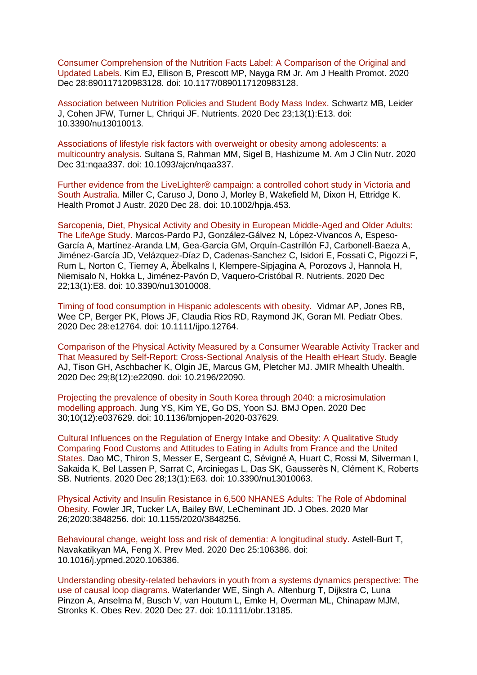[Consumer Comprehension of the Nutrition Facts Label: A Comparison of the Original and](https://eur01.safelinks.protection.outlook.com/?url=https%3A%2F%2Fpubmed.ncbi.nlm.nih.gov%2F33356408%2F&data=04%7C01%7CMaggie.Graham%40phe.gov.uk%7C802d34b5f9f84b8b50d108d8b157083b%7Cee4e14994a354b2ead475f3cf9de8666%7C0%7C0%7C637454334640459453%7CUnknown%7CTWFpbGZsb3d8eyJWIjoiMC4wLjAwMDAiLCJQIjoiV2luMzIiLCJBTiI6Ik1haWwiLCJXVCI6Mn0%3D%7C1000&sdata=rN3GCCHNH4I%2FDTYH1U7BMa2k07%2F2ZCTvRyYT2aOyw2E%3D&reserved=0)  [Updated Labels. K](https://eur01.safelinks.protection.outlook.com/?url=https%3A%2F%2Fpubmed.ncbi.nlm.nih.gov%2F33356408%2F&data=04%7C01%7CMaggie.Graham%40phe.gov.uk%7C802d34b5f9f84b8b50d108d8b157083b%7Cee4e14994a354b2ead475f3cf9de8666%7C0%7C0%7C637454334640459453%7CUnknown%7CTWFpbGZsb3d8eyJWIjoiMC4wLjAwMDAiLCJQIjoiV2luMzIiLCJBTiI6Ik1haWwiLCJXVCI6Mn0%3D%7C1000&sdata=rN3GCCHNH4I%2FDTYH1U7BMa2k07%2F2ZCTvRyYT2aOyw2E%3D&reserved=0)im EJ, Ellison B, Prescott MP, Nayga RM Jr. Am J Health Promot. 2020 Dec 28:890117120983128. doi: 10.1177/0890117120983128.

[Association between Nutrition Policies and Student Body Mass Index. S](https://eur01.safelinks.protection.outlook.com/?url=https%3A%2F%2Fpubmed.ncbi.nlm.nih.gov%2F33374504%2F&data=04%7C01%7CMaggie.Graham%40phe.gov.uk%7C802d34b5f9f84b8b50d108d8b157083b%7Cee4e14994a354b2ead475f3cf9de8666%7C0%7C0%7C637454334640459453%7CUnknown%7CTWFpbGZsb3d8eyJWIjoiMC4wLjAwMDAiLCJQIjoiV2luMzIiLCJBTiI6Ik1haWwiLCJXVCI6Mn0%3D%7C1000&sdata=LLZsNGaHLmn6Hqj8sHj2YQyedWbxJP%2Br%2BjA2FNiPkDI%3D&reserved=0)chwartz MB, Leider J, Cohen JFW, Turner L, Chriqui JF. Nutrients. 2020 Dec 23;13(1):E13. doi: 10.3390/nu13010013.

[Associations of lifestyle risk factors with overweight or obesity among adolescents: a](https://eur01.safelinks.protection.outlook.com/?url=https%3A%2F%2Fpubmed.ncbi.nlm.nih.gov%2F33381796%2F&data=04%7C01%7CMaggie.Graham%40phe.gov.uk%7C802d34b5f9f84b8b50d108d8b157083b%7Cee4e14994a354b2ead475f3cf9de8666%7C0%7C0%7C637454334640469448%7CUnknown%7CTWFpbGZsb3d8eyJWIjoiMC4wLjAwMDAiLCJQIjoiV2luMzIiLCJBTiI6Ik1haWwiLCJXVCI6Mn0%3D%7C1000&sdata=KnLb43i3BzTJl2zr5R9%2BvsNI0jk7UKfftvuOHsy%2Bdfc%3D&reserved=0)  [multicountry analysis. S](https://eur01.safelinks.protection.outlook.com/?url=https%3A%2F%2Fpubmed.ncbi.nlm.nih.gov%2F33381796%2F&data=04%7C01%7CMaggie.Graham%40phe.gov.uk%7C802d34b5f9f84b8b50d108d8b157083b%7Cee4e14994a354b2ead475f3cf9de8666%7C0%7C0%7C637454334640469448%7CUnknown%7CTWFpbGZsb3d8eyJWIjoiMC4wLjAwMDAiLCJQIjoiV2luMzIiLCJBTiI6Ik1haWwiLCJXVCI6Mn0%3D%7C1000&sdata=KnLb43i3BzTJl2zr5R9%2BvsNI0jk7UKfftvuOHsy%2Bdfc%3D&reserved=0)ultana S, Rahman MM, Sigel B, Hashizume M. Am J Clin Nutr. 2020 Dec 31:nqaa337. doi: 10.1093/ajcn/nqaa337.

[Further evidence from the LiveLighter® campaign: a controlled cohort study in Victoria and](https://eur01.safelinks.protection.outlook.com/?url=https%3A%2F%2Fpubmed.ncbi.nlm.nih.gov%2F33369816%2F&data=04%7C01%7CMaggie.Graham%40phe.gov.uk%7C802d34b5f9f84b8b50d108d8b157083b%7Cee4e14994a354b2ead475f3cf9de8666%7C0%7C0%7C637454334640469448%7CUnknown%7CTWFpbGZsb3d8eyJWIjoiMC4wLjAwMDAiLCJQIjoiV2luMzIiLCJBTiI6Ik1haWwiLCJXVCI6Mn0%3D%7C1000&sdata=25OLLDeNoLB%2BDiMqASOwY%2F5wlkcyydWOBZf%2B7U3ShAE%3D&reserved=0)  [South Australia. M](https://eur01.safelinks.protection.outlook.com/?url=https%3A%2F%2Fpubmed.ncbi.nlm.nih.gov%2F33369816%2F&data=04%7C01%7CMaggie.Graham%40phe.gov.uk%7C802d34b5f9f84b8b50d108d8b157083b%7Cee4e14994a354b2ead475f3cf9de8666%7C0%7C0%7C637454334640469448%7CUnknown%7CTWFpbGZsb3d8eyJWIjoiMC4wLjAwMDAiLCJQIjoiV2luMzIiLCJBTiI6Ik1haWwiLCJXVCI6Mn0%3D%7C1000&sdata=25OLLDeNoLB%2BDiMqASOwY%2F5wlkcyydWOBZf%2B7U3ShAE%3D&reserved=0)iller C, Caruso J, Dono J, Morley B, Wakefield M, Dixon H, Ettridge K. Health Promot J Austr. 2020 Dec 28. doi: 10.1002/hpja.453.

[Sarcopenia, Diet, Physical Activity and Obesity in European Middle-Aged and Older Adults:](https://eur01.safelinks.protection.outlook.com/?url=https%3A%2F%2Fpubmed.ncbi.nlm.nih.gov%2F33375058%2F&data=04%7C01%7CMaggie.Graham%40phe.gov.uk%7C802d34b5f9f84b8b50d108d8b157083b%7Cee4e14994a354b2ead475f3cf9de8666%7C0%7C0%7C637454334640479441%7CUnknown%7CTWFpbGZsb3d8eyJWIjoiMC4wLjAwMDAiLCJQIjoiV2luMzIiLCJBTiI6Ik1haWwiLCJXVCI6Mn0%3D%7C1000&sdata=VYPfnXtfvNE07gk0rmmisfIgUe0E4sNCKxx5ACXkkAg%3D&reserved=0)  [The LifeAge Study. M](https://eur01.safelinks.protection.outlook.com/?url=https%3A%2F%2Fpubmed.ncbi.nlm.nih.gov%2F33375058%2F&data=04%7C01%7CMaggie.Graham%40phe.gov.uk%7C802d34b5f9f84b8b50d108d8b157083b%7Cee4e14994a354b2ead475f3cf9de8666%7C0%7C0%7C637454334640479441%7CUnknown%7CTWFpbGZsb3d8eyJWIjoiMC4wLjAwMDAiLCJQIjoiV2luMzIiLCJBTiI6Ik1haWwiLCJXVCI6Mn0%3D%7C1000&sdata=VYPfnXtfvNE07gk0rmmisfIgUe0E4sNCKxx5ACXkkAg%3D&reserved=0)arcos-Pardo PJ, González-Gálvez N, López-Vivancos A, Espeso-García A, Martínez-Aranda LM, Gea-García GM, Orquín-Castrillón FJ, Carbonell-Baeza A, Jiménez-García JD, Velázquez-Díaz D, Cadenas-Sanchez C, Isidori E, Fossati C, Pigozzi F, Rum L, Norton C, Tierney A, Äbelkalns I, Klempere-Sipjagina A, Porozovs J, Hannola H, Niemisalo N, Hokka L, Jiménez-Pavón D, Vaquero-Cristóbal R. Nutrients. 2020 Dec 22;13(1):E8. doi: 10.3390/nu13010008.

Timing of food consumption [in Hispanic adolescents with obesity.](https://eur01.safelinks.protection.outlook.com/?url=https%3A%2F%2Fpubmed.ncbi.nlm.nih.gov%2F33370849%2F&data=04%7C01%7CMaggie.Graham%40phe.gov.uk%7C802d34b5f9f84b8b50d108d8b157083b%7Cee4e14994a354b2ead475f3cf9de8666%7C0%7C0%7C637454334640489436%7CUnknown%7CTWFpbGZsb3d8eyJWIjoiMC4wLjAwMDAiLCJQIjoiV2luMzIiLCJBTiI6Ik1haWwiLCJXVCI6Mn0%3D%7C1000&sdata=mvXuU55BnlPs89cl%2BR1SgCB4gDAOx45cA17Ynst98JE%3D&reserved=0) Vidmar AP, Jones RB, Wee CP, Berger PK, Plows JF, Claudia Rios RD, Raymond JK, Goran MI. Pediatr Obes. 2020 Dec 28:e12764. doi: 10.1111/ijpo.12764.

[Comparison of the Physical Activity Measured by a Consumer Wearable Activity Tracker and](https://eur01.safelinks.protection.outlook.com/?url=https%3A%2F%2Fpubmed.ncbi.nlm.nih.gov%2F33372896%2F&data=04%7C01%7CMaggie.Graham%40phe.gov.uk%7C802d34b5f9f84b8b50d108d8b157083b%7Cee4e14994a354b2ead475f3cf9de8666%7C0%7C0%7C637454334640489436%7CUnknown%7CTWFpbGZsb3d8eyJWIjoiMC4wLjAwMDAiLCJQIjoiV2luMzIiLCJBTiI6Ik1haWwiLCJXVCI6Mn0%3D%7C1000&sdata=wLNyThWFA3s95tnVAwkKxNzAbmH2RzvNwfDbvy167Wc%3D&reserved=0)  [That Measured by Self-Report: Cross-Sectional Analysis of the Health eHeart Study. B](https://eur01.safelinks.protection.outlook.com/?url=https%3A%2F%2Fpubmed.ncbi.nlm.nih.gov%2F33372896%2F&data=04%7C01%7CMaggie.Graham%40phe.gov.uk%7C802d34b5f9f84b8b50d108d8b157083b%7Cee4e14994a354b2ead475f3cf9de8666%7C0%7C0%7C637454334640489436%7CUnknown%7CTWFpbGZsb3d8eyJWIjoiMC4wLjAwMDAiLCJQIjoiV2luMzIiLCJBTiI6Ik1haWwiLCJXVCI6Mn0%3D%7C1000&sdata=wLNyThWFA3s95tnVAwkKxNzAbmH2RzvNwfDbvy167Wc%3D&reserved=0)eagle AJ, Tison GH, Aschbacher K, Olgin JE, Marcus GM, Pletcher MJ. JMIR Mhealth Uhealth. 2020 Dec 29;8(12):e22090. doi: 10.2196/22090.

[Projecting the prevalence of obesity in South Korea through 2040: a microsimulation](https://eur01.safelinks.protection.outlook.com/?url=https%3A%2F%2Fpubmed.ncbi.nlm.nih.gov%2F33380475%2F&data=04%7C01%7CMaggie.Graham%40phe.gov.uk%7C802d34b5f9f84b8b50d108d8b157083b%7Cee4e14994a354b2ead475f3cf9de8666%7C0%7C0%7C637454334640499432%7CUnknown%7CTWFpbGZsb3d8eyJWIjoiMC4wLjAwMDAiLCJQIjoiV2luMzIiLCJBTiI6Ik1haWwiLCJXVCI6Mn0%3D%7C1000&sdata=QthD0gyAGGChJteVKF%2FrnZhiqwONuh%2BashGjiI1f7E0%3D&reserved=0)  [modelling approach. J](https://eur01.safelinks.protection.outlook.com/?url=https%3A%2F%2Fpubmed.ncbi.nlm.nih.gov%2F33380475%2F&data=04%7C01%7CMaggie.Graham%40phe.gov.uk%7C802d34b5f9f84b8b50d108d8b157083b%7Cee4e14994a354b2ead475f3cf9de8666%7C0%7C0%7C637454334640499432%7CUnknown%7CTWFpbGZsb3d8eyJWIjoiMC4wLjAwMDAiLCJQIjoiV2luMzIiLCJBTiI6Ik1haWwiLCJXVCI6Mn0%3D%7C1000&sdata=QthD0gyAGGChJteVKF%2FrnZhiqwONuh%2BashGjiI1f7E0%3D&reserved=0)ung YS, Kim YE, Go DS, Yoon SJ. BMJ Open. 2020 Dec 30;10(12):e037629. doi: 10.1136/bmjopen-2020-037629.

[Cultural Influences on the Regulation of Energy Intake and Obesity: A Qualitative Study](https://eur01.safelinks.protection.outlook.com/?url=https%3A%2F%2Fpubmed.ncbi.nlm.nih.gov%2F33379179%2F&data=04%7C01%7CMaggie.Graham%40phe.gov.uk%7C802d34b5f9f84b8b50d108d8b157083b%7Cee4e14994a354b2ead475f3cf9de8666%7C0%7C0%7C637454334640499432%7CUnknown%7CTWFpbGZsb3d8eyJWIjoiMC4wLjAwMDAiLCJQIjoiV2luMzIiLCJBTiI6Ik1haWwiLCJXVCI6Mn0%3D%7C1000&sdata=cAOZNydhkzpj9CrvLSq2GmOUP6Nsm6Rd%2Ft7uX5WhLNM%3D&reserved=0)  [Comparing Food Customs and Attitudes to Eating in Adults from France and the United](https://eur01.safelinks.protection.outlook.com/?url=https%3A%2F%2Fpubmed.ncbi.nlm.nih.gov%2F33379179%2F&data=04%7C01%7CMaggie.Graham%40phe.gov.uk%7C802d34b5f9f84b8b50d108d8b157083b%7Cee4e14994a354b2ead475f3cf9de8666%7C0%7C0%7C637454334640499432%7CUnknown%7CTWFpbGZsb3d8eyJWIjoiMC4wLjAwMDAiLCJQIjoiV2luMzIiLCJBTiI6Ik1haWwiLCJXVCI6Mn0%3D%7C1000&sdata=cAOZNydhkzpj9CrvLSq2GmOUP6Nsm6Rd%2Ft7uX5WhLNM%3D&reserved=0)  [States. D](https://eur01.safelinks.protection.outlook.com/?url=https%3A%2F%2Fpubmed.ncbi.nlm.nih.gov%2F33379179%2F&data=04%7C01%7CMaggie.Graham%40phe.gov.uk%7C802d34b5f9f84b8b50d108d8b157083b%7Cee4e14994a354b2ead475f3cf9de8666%7C0%7C0%7C637454334640499432%7CUnknown%7CTWFpbGZsb3d8eyJWIjoiMC4wLjAwMDAiLCJQIjoiV2luMzIiLCJBTiI6Ik1haWwiLCJXVCI6Mn0%3D%7C1000&sdata=cAOZNydhkzpj9CrvLSq2GmOUP6Nsm6Rd%2Ft7uX5WhLNM%3D&reserved=0)ao MC, Thiron S, Messer E, Sergeant C, Sévigné A, Huart C, Rossi M, Silverman I, Sakaida K, Bel Lassen P, Sarrat C, Arciniegas L, Das SK, Gausserès N, Clément K, Roberts SB. Nutrients. 2020 Dec 28;13(1):E63. doi: 10.3390/nu13010063.

[Physical Activity and Insulin Resistance in 6,500 NHANES Adults: The Role of Abdominal](https://eur01.safelinks.protection.outlook.com/?url=https%3A%2F%2Fpubmed.ncbi.nlm.nih.gov%2F33376604%2F&data=04%7C01%7CMaggie.Graham%40phe.gov.uk%7C802d34b5f9f84b8b50d108d8b157083b%7Cee4e14994a354b2ead475f3cf9de8666%7C0%7C0%7C637454334640509422%7CUnknown%7CTWFpbGZsb3d8eyJWIjoiMC4wLjAwMDAiLCJQIjoiV2luMzIiLCJBTiI6Ik1haWwiLCJXVCI6Mn0%3D%7C1000&sdata=zqZ4iZCu22%2BBUy9DJdLUv1dv3ZF085%2BALRsAA%2BVHt2A%3D&reserved=0)  [Obesity. F](https://eur01.safelinks.protection.outlook.com/?url=https%3A%2F%2Fpubmed.ncbi.nlm.nih.gov%2F33376604%2F&data=04%7C01%7CMaggie.Graham%40phe.gov.uk%7C802d34b5f9f84b8b50d108d8b157083b%7Cee4e14994a354b2ead475f3cf9de8666%7C0%7C0%7C637454334640509422%7CUnknown%7CTWFpbGZsb3d8eyJWIjoiMC4wLjAwMDAiLCJQIjoiV2luMzIiLCJBTiI6Ik1haWwiLCJXVCI6Mn0%3D%7C1000&sdata=zqZ4iZCu22%2BBUy9DJdLUv1dv3ZF085%2BALRsAA%2BVHt2A%3D&reserved=0)owler JR, Tucker LA, Bailey BW, LeCheminant JD. J Obes. 2020 Mar 26;2020:3848256. doi: 10.1155/2020/3848256.

[Behavioural change, weight loss and risk of dementia: A longitudinal study. A](https://eur01.safelinks.protection.outlook.com/?url=https%3A%2F%2Fpubmed.ncbi.nlm.nih.gov%2F33370594%2F&data=04%7C01%7CMaggie.Graham%40phe.gov.uk%7C802d34b5f9f84b8b50d108d8b157083b%7Cee4e14994a354b2ead475f3cf9de8666%7C0%7C0%7C637454334640519418%7CUnknown%7CTWFpbGZsb3d8eyJWIjoiMC4wLjAwMDAiLCJQIjoiV2luMzIiLCJBTiI6Ik1haWwiLCJXVCI6Mn0%3D%7C1000&sdata=gThqOftzyMuDDZuo1gTEUlZGpoX6OQ4%2FNqlYPb7nRQ8%3D&reserved=0)stell-Burt T, Navakatikyan MA, Feng X. Prev Med. 2020 Dec 25:106386. doi: 10.1016/j.ypmed.2020.106386.

[Understanding obesity-related behaviors in youth from a systems dynamics perspective: The](https://eur01.safelinks.protection.outlook.com/?url=https%3A%2F%2Fpubmed.ncbi.nlm.nih.gov%2F33369045%2F&data=04%7C01%7CMaggie.Graham%40phe.gov.uk%7C802d34b5f9f84b8b50d108d8b157083b%7Cee4e14994a354b2ead475f3cf9de8666%7C0%7C0%7C637454334640529409%7CUnknown%7CTWFpbGZsb3d8eyJWIjoiMC4wLjAwMDAiLCJQIjoiV2luMzIiLCJBTiI6Ik1haWwiLCJXVCI6Mn0%3D%7C1000&sdata=wJ3HOUHfdZ%2FBVcG6X3AEm9vwDg0lfhPPXI3tkPRi6r4%3D&reserved=0)  [use of causal loop diagrams. W](https://eur01.safelinks.protection.outlook.com/?url=https%3A%2F%2Fpubmed.ncbi.nlm.nih.gov%2F33369045%2F&data=04%7C01%7CMaggie.Graham%40phe.gov.uk%7C802d34b5f9f84b8b50d108d8b157083b%7Cee4e14994a354b2ead475f3cf9de8666%7C0%7C0%7C637454334640529409%7CUnknown%7CTWFpbGZsb3d8eyJWIjoiMC4wLjAwMDAiLCJQIjoiV2luMzIiLCJBTiI6Ik1haWwiLCJXVCI6Mn0%3D%7C1000&sdata=wJ3HOUHfdZ%2FBVcG6X3AEm9vwDg0lfhPPXI3tkPRi6r4%3D&reserved=0)aterlander WE, Singh A, Altenburg T, Dijkstra C, Luna Pinzon A, Anselma M, Busch V, van Houtum L, Emke H, Overman ML, Chinapaw MJM, Stronks K. Obes Rev. 2020 Dec 27. doi: 10.1111/obr.13185.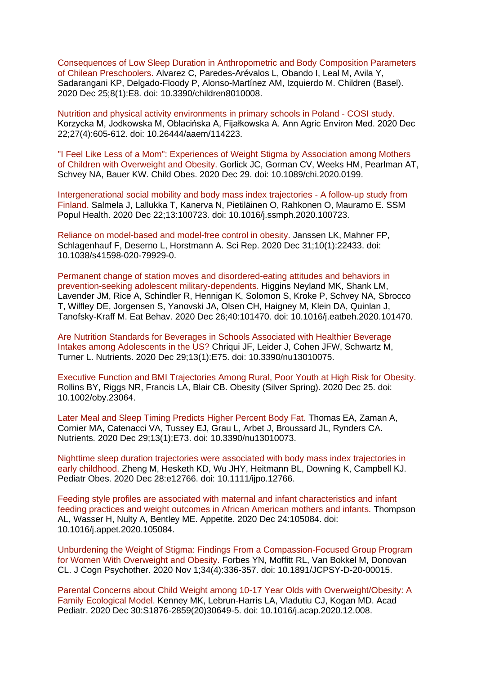[Consequences of Low Sleep Duration in Anthropometric and Body Composition Parameters](https://eur01.safelinks.protection.outlook.com/?url=https%3A%2F%2Fpubmed.ncbi.nlm.nih.gov%2F33375679%2F&data=04%7C01%7CMaggie.Graham%40phe.gov.uk%7C802d34b5f9f84b8b50d108d8b157083b%7Cee4e14994a354b2ead475f3cf9de8666%7C0%7C0%7C637454334640529409%7CUnknown%7CTWFpbGZsb3d8eyJWIjoiMC4wLjAwMDAiLCJQIjoiV2luMzIiLCJBTiI6Ik1haWwiLCJXVCI6Mn0%3D%7C1000&sdata=wlSWGiWrhZwaK2I92NeWJ7MFaJBMOxbLaEeHIrG8Fc8%3D&reserved=0)  [of Chilean Preschoolers. A](https://eur01.safelinks.protection.outlook.com/?url=https%3A%2F%2Fpubmed.ncbi.nlm.nih.gov%2F33375679%2F&data=04%7C01%7CMaggie.Graham%40phe.gov.uk%7C802d34b5f9f84b8b50d108d8b157083b%7Cee4e14994a354b2ead475f3cf9de8666%7C0%7C0%7C637454334640529409%7CUnknown%7CTWFpbGZsb3d8eyJWIjoiMC4wLjAwMDAiLCJQIjoiV2luMzIiLCJBTiI6Ik1haWwiLCJXVCI6Mn0%3D%7C1000&sdata=wlSWGiWrhZwaK2I92NeWJ7MFaJBMOxbLaEeHIrG8Fc8%3D&reserved=0)lvarez C, Paredes-Arévalos L, Obando I, Leal M, Avila Y, Sadarangani KP, Delgado-Floody P, Alonso-Martínez AM, Izquierdo M. Children (Basel). 2020 Dec 25;8(1):E8. doi: 10.3390/children8010008.

[Nutrition and physical activity environments in primary schools in Poland -](https://eur01.safelinks.protection.outlook.com/?url=https%3A%2F%2Fpubmed.ncbi.nlm.nih.gov%2F33356068%2F&data=04%7C01%7CMaggie.Graham%40phe.gov.uk%7C802d34b5f9f84b8b50d108d8b157083b%7Cee4e14994a354b2ead475f3cf9de8666%7C0%7C0%7C637454334640539408%7CUnknown%7CTWFpbGZsb3d8eyJWIjoiMC4wLjAwMDAiLCJQIjoiV2luMzIiLCJBTiI6Ik1haWwiLCJXVCI6Mn0%3D%7C1000&sdata=Mz5VC6cumaDSsFzTMyo7UB5GVPtydR7nkFRFTu5PDMg%3D&reserved=0) COSI study. Korzycka M, Jodkowska M, Oblacińska A, Fijałkowska A. Ann Agric Environ Med. 2020 Dec 22;27(4):605-612. doi: 10.26444/aaem/114223.

["I Feel Like Less of a Mom": Experiences of Weight Stigma by Association among Mothers](https://eur01.safelinks.protection.outlook.com/?url=https%3A%2F%2Fpubmed.ncbi.nlm.nih.gov%2F33373542%2F&data=04%7C01%7CMaggie.Graham%40phe.gov.uk%7C802d34b5f9f84b8b50d108d8b157083b%7Cee4e14994a354b2ead475f3cf9de8666%7C0%7C0%7C637454334640539408%7CUnknown%7CTWFpbGZsb3d8eyJWIjoiMC4wLjAwMDAiLCJQIjoiV2luMzIiLCJBTiI6Ik1haWwiLCJXVCI6Mn0%3D%7C1000&sdata=%2FsW13SDs0iu4OBMmF39TPZKH8xnPa06KsCFdSYSktnE%3D&reserved=0)  [of Children with Overweight and Obesity. G](https://eur01.safelinks.protection.outlook.com/?url=https%3A%2F%2Fpubmed.ncbi.nlm.nih.gov%2F33373542%2F&data=04%7C01%7CMaggie.Graham%40phe.gov.uk%7C802d34b5f9f84b8b50d108d8b157083b%7Cee4e14994a354b2ead475f3cf9de8666%7C0%7C0%7C637454334640539408%7CUnknown%7CTWFpbGZsb3d8eyJWIjoiMC4wLjAwMDAiLCJQIjoiV2luMzIiLCJBTiI6Ik1haWwiLCJXVCI6Mn0%3D%7C1000&sdata=%2FsW13SDs0iu4OBMmF39TPZKH8xnPa06KsCFdSYSktnE%3D&reserved=0)orlick JC, Gorman CV, Weeks HM, Pearlman AT, Schvey NA, Bauer KW. Child Obes. 2020 Dec 29. doi: 10.1089/chi.2020.0199.

[Intergenerational social mobility and body mass index trajectories -](https://eur01.safelinks.protection.outlook.com/?url=https%3A%2F%2Fpubmed.ncbi.nlm.nih.gov%2F33385060%2F&data=04%7C01%7CMaggie.Graham%40phe.gov.uk%7C802d34b5f9f84b8b50d108d8b157083b%7Cee4e14994a354b2ead475f3cf9de8666%7C0%7C0%7C637454334640549401%7CUnknown%7CTWFpbGZsb3d8eyJWIjoiMC4wLjAwMDAiLCJQIjoiV2luMzIiLCJBTiI6Ik1haWwiLCJXVCI6Mn0%3D%7C1000&sdata=bA8%2FE%2FkZ5OjfRX%2BZOyw3XLzEP5taW67GCK9h8g1VDKw%3D&reserved=0) A follow-up study from [Finland. S](https://eur01.safelinks.protection.outlook.com/?url=https%3A%2F%2Fpubmed.ncbi.nlm.nih.gov%2F33385060%2F&data=04%7C01%7CMaggie.Graham%40phe.gov.uk%7C802d34b5f9f84b8b50d108d8b157083b%7Cee4e14994a354b2ead475f3cf9de8666%7C0%7C0%7C637454334640549401%7CUnknown%7CTWFpbGZsb3d8eyJWIjoiMC4wLjAwMDAiLCJQIjoiV2luMzIiLCJBTiI6Ik1haWwiLCJXVCI6Mn0%3D%7C1000&sdata=bA8%2FE%2FkZ5OjfRX%2BZOyw3XLzEP5taW67GCK9h8g1VDKw%3D&reserved=0)almela J, Lallukka T, Kanerva N, Pietiläinen O, Rahkonen O, Mauramo E. SSM Popul Health. 2020 Dec 22;13:100723. doi: 10.1016/j.ssmph.2020.100723.

[Reliance on model-based and model-free control in obesity. J](https://eur01.safelinks.protection.outlook.com/?url=https%3A%2F%2Fpubmed.ncbi.nlm.nih.gov%2F33384425%2F&data=04%7C01%7CMaggie.Graham%40phe.gov.uk%7C802d34b5f9f84b8b50d108d8b157083b%7Cee4e14994a354b2ead475f3cf9de8666%7C0%7C0%7C637454334640549401%7CUnknown%7CTWFpbGZsb3d8eyJWIjoiMC4wLjAwMDAiLCJQIjoiV2luMzIiLCJBTiI6Ik1haWwiLCJXVCI6Mn0%3D%7C1000&sdata=UZLamCrZl2Y3ClfV3nZFVloALmo%2BUNr3bEYNexYF9P0%3D&reserved=0)anssen LK, Mahner FP, Schlagenhauf F, Deserno L, Horstmann A. Sci Rep. 2020 Dec 31;10(1):22433. doi: 10.1038/s41598-020-79929-0.

[Permanent change of station moves and disordered-eating attitudes and behaviors in](https://eur01.safelinks.protection.outlook.com/?url=https%3A%2F%2Fpubmed.ncbi.nlm.nih.gov%2F33373856%2F&data=04%7C01%7CMaggie.Graham%40phe.gov.uk%7C802d34b5f9f84b8b50d108d8b157083b%7Cee4e14994a354b2ead475f3cf9de8666%7C0%7C0%7C637454334640559392%7CUnknown%7CTWFpbGZsb3d8eyJWIjoiMC4wLjAwMDAiLCJQIjoiV2luMzIiLCJBTiI6Ik1haWwiLCJXVCI6Mn0%3D%7C1000&sdata=7P6nF1JOssu9%2Ff1j4l3ypNwZdTgUp72jJtys46MKndQ%3D&reserved=0)  [prevention-seeking adolescent military-dependents. H](https://eur01.safelinks.protection.outlook.com/?url=https%3A%2F%2Fpubmed.ncbi.nlm.nih.gov%2F33373856%2F&data=04%7C01%7CMaggie.Graham%40phe.gov.uk%7C802d34b5f9f84b8b50d108d8b157083b%7Cee4e14994a354b2ead475f3cf9de8666%7C0%7C0%7C637454334640559392%7CUnknown%7CTWFpbGZsb3d8eyJWIjoiMC4wLjAwMDAiLCJQIjoiV2luMzIiLCJBTiI6Ik1haWwiLCJXVCI6Mn0%3D%7C1000&sdata=7P6nF1JOssu9%2Ff1j4l3ypNwZdTgUp72jJtys46MKndQ%3D&reserved=0)iggins Neyland MK, Shank LM, Lavender JM, Rice A, Schindler R, Hennigan K, Solomon S, Kroke P, Schvey NA, Sbrocco T, Wilfley DE, Jorgensen S, Yanovski JA, Olsen CH, Haigney M, Klein DA, Quinlan J, Tanofsky-Kraff M. Eat Behav. 2020 Dec 26;40:101470. doi: 10.1016/j.eatbeh.2020.101470.

[Are Nutrition Standards for Beverages in Schools Associated with Healthier Beverage](https://eur01.safelinks.protection.outlook.com/?url=https%3A%2F%2Fpubmed.ncbi.nlm.nih.gov%2F33383659%2F&data=04%7C01%7CMaggie.Graham%40phe.gov.uk%7C802d34b5f9f84b8b50d108d8b157083b%7Cee4e14994a354b2ead475f3cf9de8666%7C0%7C0%7C637454334640559392%7CUnknown%7CTWFpbGZsb3d8eyJWIjoiMC4wLjAwMDAiLCJQIjoiV2luMzIiLCJBTiI6Ik1haWwiLCJXVCI6Mn0%3D%7C1000&sdata=ELi8W%2Bn6XcEjn8wwFhnjHEw1mVfF%2BQQZCnyRBKZU7Jc%3D&reserved=0)  [Intakes among Adolescents in the US? C](https://eur01.safelinks.protection.outlook.com/?url=https%3A%2F%2Fpubmed.ncbi.nlm.nih.gov%2F33383659%2F&data=04%7C01%7CMaggie.Graham%40phe.gov.uk%7C802d34b5f9f84b8b50d108d8b157083b%7Cee4e14994a354b2ead475f3cf9de8666%7C0%7C0%7C637454334640559392%7CUnknown%7CTWFpbGZsb3d8eyJWIjoiMC4wLjAwMDAiLCJQIjoiV2luMzIiLCJBTiI6Ik1haWwiLCJXVCI6Mn0%3D%7C1000&sdata=ELi8W%2Bn6XcEjn8wwFhnjHEw1mVfF%2BQQZCnyRBKZU7Jc%3D&reserved=0)hriqui JF, Leider J, Cohen JFW, Schwartz M, Turner L. Nutrients. 2020 Dec 29;13(1):E75. doi: 10.3390/nu13010075.

[Executive Function and BMI Trajectories Among Rural, Poor Youth at High Risk for Obesity.](https://eur01.safelinks.protection.outlook.com/?url=https%3A%2F%2Fpubmed.ncbi.nlm.nih.gov%2F33369183%2F&data=04%7C01%7CMaggie.Graham%40phe.gov.uk%7C802d34b5f9f84b8b50d108d8b157083b%7Cee4e14994a354b2ead475f3cf9de8666%7C0%7C0%7C637454334640569391%7CUnknown%7CTWFpbGZsb3d8eyJWIjoiMC4wLjAwMDAiLCJQIjoiV2luMzIiLCJBTiI6Ik1haWwiLCJXVCI6Mn0%3D%7C1000&sdata=S0d6R81fjhJB2s2EDiDBJ4GwKMPQ8OhO8HevzCY2Dlk%3D&reserved=0)  Rollins BY, Riggs NR, Francis LA, Blair CB. Obesity (Silver Spring). 2020 Dec 25. doi: 10.1002/oby.23064.

[Later Meal and Sleep Timing Predicts Higher Percent Body Fat. T](https://eur01.safelinks.protection.outlook.com/?url=https%3A%2F%2Fpubmed.ncbi.nlm.nih.gov%2F33383648%2F&data=04%7C01%7CMaggie.Graham%40phe.gov.uk%7C802d34b5f9f84b8b50d108d8b157083b%7Cee4e14994a354b2ead475f3cf9de8666%7C0%7C0%7C637454334640579384%7CUnknown%7CTWFpbGZsb3d8eyJWIjoiMC4wLjAwMDAiLCJQIjoiV2luMzIiLCJBTiI6Ik1haWwiLCJXVCI6Mn0%3D%7C1000&sdata=h9kvazSa4oHnzVExcpgk9MkdmVEBTw4v4xWQOjU37iI%3D&reserved=0)homas EA, Zaman A, Cornier MA, Catenacci VA, Tussey EJ, Grau L, Arbet J, Broussard JL, Rynders CA. Nutrients. 2020 Dec 29;13(1):E73. doi: 10.3390/nu13010073.

[Nighttime sleep duration trajectories were associated with body mass index trajectories in](https://eur01.safelinks.protection.outlook.com/?url=https%3A%2F%2Fpubmed.ncbi.nlm.nih.gov%2F33369282%2F&data=04%7C01%7CMaggie.Graham%40phe.gov.uk%7C802d34b5f9f84b8b50d108d8b157083b%7Cee4e14994a354b2ead475f3cf9de8666%7C0%7C0%7C637454334640579384%7CUnknown%7CTWFpbGZsb3d8eyJWIjoiMC4wLjAwMDAiLCJQIjoiV2luMzIiLCJBTiI6Ik1haWwiLCJXVCI6Mn0%3D%7C1000&sdata=h2w6BYurtwRAIITVTKmjZ4GeyMi%2Bo12n8Gf2isJ0qIQ%3D&reserved=0)  [early childhood. Z](https://eur01.safelinks.protection.outlook.com/?url=https%3A%2F%2Fpubmed.ncbi.nlm.nih.gov%2F33369282%2F&data=04%7C01%7CMaggie.Graham%40phe.gov.uk%7C802d34b5f9f84b8b50d108d8b157083b%7Cee4e14994a354b2ead475f3cf9de8666%7C0%7C0%7C637454334640579384%7CUnknown%7CTWFpbGZsb3d8eyJWIjoiMC4wLjAwMDAiLCJQIjoiV2luMzIiLCJBTiI6Ik1haWwiLCJXVCI6Mn0%3D%7C1000&sdata=h2w6BYurtwRAIITVTKmjZ4GeyMi%2Bo12n8Gf2isJ0qIQ%3D&reserved=0)heng M, Hesketh KD, Wu JHY, Heitmann BL, Downing K, Campbell KJ. Pediatr Obes. 2020 Dec 28:e12766. doi: 10.1111/ijpo.12766.

[Feeding style profiles are associated with maternal and infant characteristics and infant](https://eur01.safelinks.protection.outlook.com/?url=https%3A%2F%2Fpubmed.ncbi.nlm.nih.gov%2F33359466%2F&data=04%7C01%7CMaggie.Graham%40phe.gov.uk%7C802d34b5f9f84b8b50d108d8b157083b%7Cee4e14994a354b2ead475f3cf9de8666%7C0%7C0%7C637454334640589378%7CUnknown%7CTWFpbGZsb3d8eyJWIjoiMC4wLjAwMDAiLCJQIjoiV2luMzIiLCJBTiI6Ik1haWwiLCJXVCI6Mn0%3D%7C1000&sdata=6%2FFMBJgULeWtcOUJalpQBCPGvTYFAIUuZPW8flQaIRE%3D&reserved=0)  [feeding practices and weight outcomes in African American mothers and infants. T](https://eur01.safelinks.protection.outlook.com/?url=https%3A%2F%2Fpubmed.ncbi.nlm.nih.gov%2F33359466%2F&data=04%7C01%7CMaggie.Graham%40phe.gov.uk%7C802d34b5f9f84b8b50d108d8b157083b%7Cee4e14994a354b2ead475f3cf9de8666%7C0%7C0%7C637454334640589378%7CUnknown%7CTWFpbGZsb3d8eyJWIjoiMC4wLjAwMDAiLCJQIjoiV2luMzIiLCJBTiI6Ik1haWwiLCJXVCI6Mn0%3D%7C1000&sdata=6%2FFMBJgULeWtcOUJalpQBCPGvTYFAIUuZPW8flQaIRE%3D&reserved=0)hompson AL, Wasser H, Nulty A, Bentley ME. Appetite. 2020 Dec 24:105084. doi: 10.1016/j.appet.2020.105084.

[Unburdening the Weight of Stigma: Findings From a Compassion-Focused Group Program](https://eur01.safelinks.protection.outlook.com/?url=https%3A%2F%2Fpubmed.ncbi.nlm.nih.gov%2F33372127%2F&data=04%7C01%7CMaggie.Graham%40phe.gov.uk%7C802d34b5f9f84b8b50d108d8b157083b%7Cee4e14994a354b2ead475f3cf9de8666%7C0%7C0%7C637454334640589378%7CUnknown%7CTWFpbGZsb3d8eyJWIjoiMC4wLjAwMDAiLCJQIjoiV2luMzIiLCJBTiI6Ik1haWwiLCJXVCI6Mn0%3D%7C1000&sdata=EKAn%2FIqn6pflctodmbulbwdQD2rHND1Bc37dfNvG0aM%3D&reserved=0)  [for Women With Overweight and Obesity. F](https://eur01.safelinks.protection.outlook.com/?url=https%3A%2F%2Fpubmed.ncbi.nlm.nih.gov%2F33372127%2F&data=04%7C01%7CMaggie.Graham%40phe.gov.uk%7C802d34b5f9f84b8b50d108d8b157083b%7Cee4e14994a354b2ead475f3cf9de8666%7C0%7C0%7C637454334640589378%7CUnknown%7CTWFpbGZsb3d8eyJWIjoiMC4wLjAwMDAiLCJQIjoiV2luMzIiLCJBTiI6Ik1haWwiLCJXVCI6Mn0%3D%7C1000&sdata=EKAn%2FIqn6pflctodmbulbwdQD2rHND1Bc37dfNvG0aM%3D&reserved=0)orbes YN, Moffitt RL, Van Bokkel M, Donovan CL. J Cogn Psychother. 2020 Nov 1;34(4):336-357. doi: 10.1891/JCPSY-D-20-00015.

[Parental Concerns about Child Weight among 10-17 Year Olds with Overweight/Obesity: A](https://eur01.safelinks.protection.outlook.com/?url=https%3A%2F%2Fpubmed.ncbi.nlm.nih.gov%2F33387678%2F&data=04%7C01%7CMaggie.Graham%40phe.gov.uk%7C802d34b5f9f84b8b50d108d8b157083b%7Cee4e14994a354b2ead475f3cf9de8666%7C0%7C0%7C637454334640599370%7CUnknown%7CTWFpbGZsb3d8eyJWIjoiMC4wLjAwMDAiLCJQIjoiV2luMzIiLCJBTiI6Ik1haWwiLCJXVCI6Mn0%3D%7C1000&sdata=aTSDs23RmedPcm1doMkePsR5rIeuXAJ6jE%2BBPaVzfeY%3D&reserved=0)  [Family Ecological Model. K](https://eur01.safelinks.protection.outlook.com/?url=https%3A%2F%2Fpubmed.ncbi.nlm.nih.gov%2F33387678%2F&data=04%7C01%7CMaggie.Graham%40phe.gov.uk%7C802d34b5f9f84b8b50d108d8b157083b%7Cee4e14994a354b2ead475f3cf9de8666%7C0%7C0%7C637454334640599370%7CUnknown%7CTWFpbGZsb3d8eyJWIjoiMC4wLjAwMDAiLCJQIjoiV2luMzIiLCJBTiI6Ik1haWwiLCJXVCI6Mn0%3D%7C1000&sdata=aTSDs23RmedPcm1doMkePsR5rIeuXAJ6jE%2BBPaVzfeY%3D&reserved=0)enney MK, Lebrun-Harris LA, Vladutiu CJ, Kogan MD. Acad Pediatr. 2020 Dec 30:S1876-2859(20)30649-5. doi: 10.1016/j.acap.2020.12.008.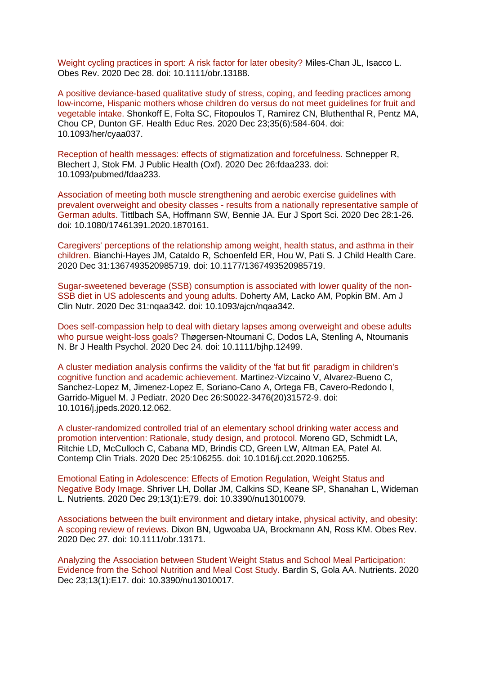[Weight cycling practices in sport: A risk factor for later obesity? M](https://eur01.safelinks.protection.outlook.com/?url=https%3A%2F%2Fpubmed.ncbi.nlm.nih.gov%2F33372395%2F&data=04%7C01%7CMaggie.Graham%40phe.gov.uk%7C802d34b5f9f84b8b50d108d8b157083b%7Cee4e14994a354b2ead475f3cf9de8666%7C0%7C0%7C637454334640609365%7CUnknown%7CTWFpbGZsb3d8eyJWIjoiMC4wLjAwMDAiLCJQIjoiV2luMzIiLCJBTiI6Ik1haWwiLCJXVCI6Mn0%3D%7C1000&sdata=TV%2FYcjKsFb5C1GIq76%2BvWQOvscpIeWWTX6ZqTdWs2Y4%3D&reserved=0)iles-Chan JL, Isacco L. Obes Rev. 2020 Dec 28. doi: 10.1111/obr.13188.

[A positive deviance-based qualitative study of stress, coping, and feeding practices among](https://eur01.safelinks.protection.outlook.com/?url=https%3A%2F%2Fpubmed.ncbi.nlm.nih.gov%2F33367771%2F&data=04%7C01%7CMaggie.Graham%40phe.gov.uk%7C802d34b5f9f84b8b50d108d8b157083b%7Cee4e14994a354b2ead475f3cf9de8666%7C0%7C0%7C637454334640619358%7CUnknown%7CTWFpbGZsb3d8eyJWIjoiMC4wLjAwMDAiLCJQIjoiV2luMzIiLCJBTiI6Ik1haWwiLCJXVCI6Mn0%3D%7C1000&sdata=v4yLfA0h7L9RIq3PnTfq4vTm9qDEMEVFe6pABhXl2oA%3D&reserved=0)  [low-income, Hispanic mothers whose children do versus do not meet guidelines for fruit and](https://eur01.safelinks.protection.outlook.com/?url=https%3A%2F%2Fpubmed.ncbi.nlm.nih.gov%2F33367771%2F&data=04%7C01%7CMaggie.Graham%40phe.gov.uk%7C802d34b5f9f84b8b50d108d8b157083b%7Cee4e14994a354b2ead475f3cf9de8666%7C0%7C0%7C637454334640619358%7CUnknown%7CTWFpbGZsb3d8eyJWIjoiMC4wLjAwMDAiLCJQIjoiV2luMzIiLCJBTiI6Ik1haWwiLCJXVCI6Mn0%3D%7C1000&sdata=v4yLfA0h7L9RIq3PnTfq4vTm9qDEMEVFe6pABhXl2oA%3D&reserved=0)  [vegetable intake. S](https://eur01.safelinks.protection.outlook.com/?url=https%3A%2F%2Fpubmed.ncbi.nlm.nih.gov%2F33367771%2F&data=04%7C01%7CMaggie.Graham%40phe.gov.uk%7C802d34b5f9f84b8b50d108d8b157083b%7Cee4e14994a354b2ead475f3cf9de8666%7C0%7C0%7C637454334640619358%7CUnknown%7CTWFpbGZsb3d8eyJWIjoiMC4wLjAwMDAiLCJQIjoiV2luMzIiLCJBTiI6Ik1haWwiLCJXVCI6Mn0%3D%7C1000&sdata=v4yLfA0h7L9RIq3PnTfq4vTm9qDEMEVFe6pABhXl2oA%3D&reserved=0)honkoff E, Folta SC, Fitopoulos T, Ramirez CN, Bluthenthal R, Pentz MA, Chou CP, Dunton GF. Health Educ Res. 2020 Dec 23;35(6):584-604. doi: 10.1093/her/cyaa037.

[Reception of health messages: effects of stigmatization and forcefulness. S](https://eur01.safelinks.protection.outlook.com/?url=https%3A%2F%2Fpubmed.ncbi.nlm.nih.gov%2F33367845%2F&data=04%7C01%7CMaggie.Graham%40phe.gov.uk%7C802d34b5f9f84b8b50d108d8b157083b%7Cee4e14994a354b2ead475f3cf9de8666%7C0%7C0%7C637454334640619358%7CUnknown%7CTWFpbGZsb3d8eyJWIjoiMC4wLjAwMDAiLCJQIjoiV2luMzIiLCJBTiI6Ik1haWwiLCJXVCI6Mn0%3D%7C1000&sdata=8Qio3H9f706A8SKdFCltaPu2A%2FkIjkHt3aXuWiXVnsA%3D&reserved=0)chnepper R, Blechert J, Stok FM. J Public Health (Oxf). 2020 Dec 26:fdaa233. doi: 10.1093/pubmed/fdaa233.

[Association of meeting both muscle strengthening and aerobic exercise guidelines with](https://eur01.safelinks.protection.outlook.com/?url=https%3A%2F%2Fpubmed.ncbi.nlm.nih.gov%2F33369530%2F&data=04%7C01%7CMaggie.Graham%40phe.gov.uk%7C802d34b5f9f84b8b50d108d8b157083b%7Cee4e14994a354b2ead475f3cf9de8666%7C0%7C0%7C637454334640629355%7CUnknown%7CTWFpbGZsb3d8eyJWIjoiMC4wLjAwMDAiLCJQIjoiV2luMzIiLCJBTiI6Ik1haWwiLCJXVCI6Mn0%3D%7C1000&sdata=hkFPdQZB5VDuNAUmc97j5wrVAt4tkBoOClF0YJBr5IQ%3D&reserved=0)  prevalent overweight and obesity classes - [results from a nationally representative sample of](https://eur01.safelinks.protection.outlook.com/?url=https%3A%2F%2Fpubmed.ncbi.nlm.nih.gov%2F33369530%2F&data=04%7C01%7CMaggie.Graham%40phe.gov.uk%7C802d34b5f9f84b8b50d108d8b157083b%7Cee4e14994a354b2ead475f3cf9de8666%7C0%7C0%7C637454334640629355%7CUnknown%7CTWFpbGZsb3d8eyJWIjoiMC4wLjAwMDAiLCJQIjoiV2luMzIiLCJBTiI6Ik1haWwiLCJXVCI6Mn0%3D%7C1000&sdata=hkFPdQZB5VDuNAUmc97j5wrVAt4tkBoOClF0YJBr5IQ%3D&reserved=0)  [German adults. T](https://eur01.safelinks.protection.outlook.com/?url=https%3A%2F%2Fpubmed.ncbi.nlm.nih.gov%2F33369530%2F&data=04%7C01%7CMaggie.Graham%40phe.gov.uk%7C802d34b5f9f84b8b50d108d8b157083b%7Cee4e14994a354b2ead475f3cf9de8666%7C0%7C0%7C637454334640629355%7CUnknown%7CTWFpbGZsb3d8eyJWIjoiMC4wLjAwMDAiLCJQIjoiV2luMzIiLCJBTiI6Ik1haWwiLCJXVCI6Mn0%3D%7C1000&sdata=hkFPdQZB5VDuNAUmc97j5wrVAt4tkBoOClF0YJBr5IQ%3D&reserved=0)ittlbach SA, Hoffmann SW, Bennie JA. Eur J Sport Sci. 2020 Dec 28:1-26. doi: 10.1080/17461391.2020.1870161.

[Caregivers' perceptions of the relationship among weight, health status, and asthma in their](https://eur01.safelinks.protection.outlook.com/?url=https%3A%2F%2Fpubmed.ncbi.nlm.nih.gov%2F33382353%2F&data=04%7C01%7CMaggie.Graham%40phe.gov.uk%7C802d34b5f9f84b8b50d108d8b157083b%7Cee4e14994a354b2ead475f3cf9de8666%7C0%7C0%7C637454334640629355%7CUnknown%7CTWFpbGZsb3d8eyJWIjoiMC4wLjAwMDAiLCJQIjoiV2luMzIiLCJBTiI6Ik1haWwiLCJXVCI6Mn0%3D%7C1000&sdata=XPZYq8Ug5NOuvGkG2SX7NWh9v3NCA0akblMPvZ5hWbI%3D&reserved=0)  [children. B](https://eur01.safelinks.protection.outlook.com/?url=https%3A%2F%2Fpubmed.ncbi.nlm.nih.gov%2F33382353%2F&data=04%7C01%7CMaggie.Graham%40phe.gov.uk%7C802d34b5f9f84b8b50d108d8b157083b%7Cee4e14994a354b2ead475f3cf9de8666%7C0%7C0%7C637454334640629355%7CUnknown%7CTWFpbGZsb3d8eyJWIjoiMC4wLjAwMDAiLCJQIjoiV2luMzIiLCJBTiI6Ik1haWwiLCJXVCI6Mn0%3D%7C1000&sdata=XPZYq8Ug5NOuvGkG2SX7NWh9v3NCA0akblMPvZ5hWbI%3D&reserved=0)ianchi-Hayes JM, Cataldo R, Schoenfeld ER, Hou W, Pati S. J Child Health Care. 2020 Dec 31:1367493520985719. doi: 10.1177/1367493520985719.

[Sugar-sweetened beverage \(SSB\) consumption is associated with lower quality of the non-](https://eur01.safelinks.protection.outlook.com/?url=https%3A%2F%2Fpubmed.ncbi.nlm.nih.gov%2F33381808%2F&data=04%7C01%7CMaggie.Graham%40phe.gov.uk%7C802d34b5f9f84b8b50d108d8b157083b%7Cee4e14994a354b2ead475f3cf9de8666%7C0%7C0%7C637454334640639343%7CUnknown%7CTWFpbGZsb3d8eyJWIjoiMC4wLjAwMDAiLCJQIjoiV2luMzIiLCJBTiI6Ik1haWwiLCJXVCI6Mn0%3D%7C1000&sdata=MLkjBO38nOMi6hOBVUgmC9M0gVqFLEVIpKqpdugq1pk%3D&reserved=0)[SSB diet in US adolescents and young adults. D](https://eur01.safelinks.protection.outlook.com/?url=https%3A%2F%2Fpubmed.ncbi.nlm.nih.gov%2F33381808%2F&data=04%7C01%7CMaggie.Graham%40phe.gov.uk%7C802d34b5f9f84b8b50d108d8b157083b%7Cee4e14994a354b2ead475f3cf9de8666%7C0%7C0%7C637454334640639343%7CUnknown%7CTWFpbGZsb3d8eyJWIjoiMC4wLjAwMDAiLCJQIjoiV2luMzIiLCJBTiI6Ik1haWwiLCJXVCI6Mn0%3D%7C1000&sdata=MLkjBO38nOMi6hOBVUgmC9M0gVqFLEVIpKqpdugq1pk%3D&reserved=0)oherty AM, Lacko AM, Popkin BM. Am J Clin Nutr. 2020 Dec 31:nqaa342. doi: 10.1093/ajcn/nqaa342.

[Does self-compassion help to deal with dietary lapses among overweight and obese adults](https://eur01.safelinks.protection.outlook.com/?url=https%3A%2F%2Fpubmed.ncbi.nlm.nih.gov%2F33368932%2F&data=04%7C01%7CMaggie.Graham%40phe.gov.uk%7C802d34b5f9f84b8b50d108d8b157083b%7Cee4e14994a354b2ead475f3cf9de8666%7C0%7C0%7C637454334640639343%7CUnknown%7CTWFpbGZsb3d8eyJWIjoiMC4wLjAwMDAiLCJQIjoiV2luMzIiLCJBTiI6Ik1haWwiLCJXVCI6Mn0%3D%7C1000&sdata=wdzlmkpa5Jx9ocOqlZoewEyGSke3VFxDzX4N7M9ieZI%3D&reserved=0)  [who pursue weight-loss goals? T](https://eur01.safelinks.protection.outlook.com/?url=https%3A%2F%2Fpubmed.ncbi.nlm.nih.gov%2F33368932%2F&data=04%7C01%7CMaggie.Graham%40phe.gov.uk%7C802d34b5f9f84b8b50d108d8b157083b%7Cee4e14994a354b2ead475f3cf9de8666%7C0%7C0%7C637454334640639343%7CUnknown%7CTWFpbGZsb3d8eyJWIjoiMC4wLjAwMDAiLCJQIjoiV2luMzIiLCJBTiI6Ik1haWwiLCJXVCI6Mn0%3D%7C1000&sdata=wdzlmkpa5Jx9ocOqlZoewEyGSke3VFxDzX4N7M9ieZI%3D&reserved=0)høgersen-Ntoumani C, Dodos LA, Stenling A, Ntoumanis N. Br J Health Psychol. 2020 Dec 24. doi: 10.1111/bjhp.12499.

[A cluster mediation analysis confirms the validity of the 'fat but fit' paradigm in children's](https://eur01.safelinks.protection.outlook.com/?url=https%3A%2F%2Fpubmed.ncbi.nlm.nih.gov%2F33373671%2F&data=04%7C01%7CMaggie.Graham%40phe.gov.uk%7C802d34b5f9f84b8b50d108d8b157083b%7Cee4e14994a354b2ead475f3cf9de8666%7C0%7C0%7C637454334640659341%7CUnknown%7CTWFpbGZsb3d8eyJWIjoiMC4wLjAwMDAiLCJQIjoiV2luMzIiLCJBTiI6Ik1haWwiLCJXVCI6Mn0%3D%7C1000&sdata=GMjcuaEHWltEcXwh2m%2FggqCDi8x42KPaj7o0DY%2FfGpI%3D&reserved=0)  [cognitive function and academic achievement. M](https://eur01.safelinks.protection.outlook.com/?url=https%3A%2F%2Fpubmed.ncbi.nlm.nih.gov%2F33373671%2F&data=04%7C01%7CMaggie.Graham%40phe.gov.uk%7C802d34b5f9f84b8b50d108d8b157083b%7Cee4e14994a354b2ead475f3cf9de8666%7C0%7C0%7C637454334640659341%7CUnknown%7CTWFpbGZsb3d8eyJWIjoiMC4wLjAwMDAiLCJQIjoiV2luMzIiLCJBTiI6Ik1haWwiLCJXVCI6Mn0%3D%7C1000&sdata=GMjcuaEHWltEcXwh2m%2FggqCDi8x42KPaj7o0DY%2FfGpI%3D&reserved=0)artinez-Vizcaino V, Alvarez-Bueno C, Sanchez-Lopez M, Jimenez-Lopez E, Soriano-Cano A, Ortega FB, Cavero-Redondo I, Garrido-Miguel M. J Pediatr. 2020 Dec 26:S0022-3476(20)31572-9. doi: 10.1016/j.jpeds.2020.12.062.

[A cluster-randomized controlled trial of an elementary school drinking water access and](https://eur01.safelinks.protection.outlook.com/?url=https%3A%2F%2Fpubmed.ncbi.nlm.nih.gov%2F33370616%2F&data=04%7C01%7CMaggie.Graham%40phe.gov.uk%7C802d34b5f9f84b8b50d108d8b157083b%7Cee4e14994a354b2ead475f3cf9de8666%7C0%7C0%7C637454334640669328%7CUnknown%7CTWFpbGZsb3d8eyJWIjoiMC4wLjAwMDAiLCJQIjoiV2luMzIiLCJBTiI6Ik1haWwiLCJXVCI6Mn0%3D%7C1000&sdata=5RLCvQiqYMk9DrLUxypqvYyhc8F08g27hSD%2FuPM7ctI%3D&reserved=0)  [promotion intervention: Rationale, study design, and protocol. M](https://eur01.safelinks.protection.outlook.com/?url=https%3A%2F%2Fpubmed.ncbi.nlm.nih.gov%2F33370616%2F&data=04%7C01%7CMaggie.Graham%40phe.gov.uk%7C802d34b5f9f84b8b50d108d8b157083b%7Cee4e14994a354b2ead475f3cf9de8666%7C0%7C0%7C637454334640669328%7CUnknown%7CTWFpbGZsb3d8eyJWIjoiMC4wLjAwMDAiLCJQIjoiV2luMzIiLCJBTiI6Ik1haWwiLCJXVCI6Mn0%3D%7C1000&sdata=5RLCvQiqYMk9DrLUxypqvYyhc8F08g27hSD%2FuPM7ctI%3D&reserved=0)oreno GD, Schmidt LA, Ritchie LD, McCulloch C, Cabana MD, Brindis CD, Green LW, Altman EA, Patel AI. Contemp Clin Trials. 2020 Dec 25:106255. doi: 10.1016/j.cct.2020.106255.

[Emotional Eating in Adolescence: Effects of Emotion Regulation, Weight Status and](https://eur01.safelinks.protection.outlook.com/?url=https%3A%2F%2Fpubmed.ncbi.nlm.nih.gov%2F33383717%2F&data=04%7C01%7CMaggie.Graham%40phe.gov.uk%7C802d34b5f9f84b8b50d108d8b157083b%7Cee4e14994a354b2ead475f3cf9de8666%7C0%7C0%7C637454334640669328%7CUnknown%7CTWFpbGZsb3d8eyJWIjoiMC4wLjAwMDAiLCJQIjoiV2luMzIiLCJBTiI6Ik1haWwiLCJXVCI6Mn0%3D%7C1000&sdata=x7y108iWayBZjhOsVqGgwxDNFVLDtGPSy%2BZRUpDQPeI%3D&reserved=0)  [Negative Body Image. S](https://eur01.safelinks.protection.outlook.com/?url=https%3A%2F%2Fpubmed.ncbi.nlm.nih.gov%2F33383717%2F&data=04%7C01%7CMaggie.Graham%40phe.gov.uk%7C802d34b5f9f84b8b50d108d8b157083b%7Cee4e14994a354b2ead475f3cf9de8666%7C0%7C0%7C637454334640669328%7CUnknown%7CTWFpbGZsb3d8eyJWIjoiMC4wLjAwMDAiLCJQIjoiV2luMzIiLCJBTiI6Ik1haWwiLCJXVCI6Mn0%3D%7C1000&sdata=x7y108iWayBZjhOsVqGgwxDNFVLDtGPSy%2BZRUpDQPeI%3D&reserved=0)hriver LH, Dollar JM, Calkins SD, Keane SP, Shanahan L, Wideman L. Nutrients. 2020 Dec 29;13(1):E79. doi: 10.3390/nu13010079.

[Associations between the built environment and dietary intake, physical activity, and obesity:](https://eur01.safelinks.protection.outlook.com/?url=https%3A%2F%2Fpubmed.ncbi.nlm.nih.gov%2F33369097%2F&data=04%7C01%7CMaggie.Graham%40phe.gov.uk%7C802d34b5f9f84b8b50d108d8b157083b%7Cee4e14994a354b2ead475f3cf9de8666%7C0%7C0%7C637454334640679323%7CUnknown%7CTWFpbGZsb3d8eyJWIjoiMC4wLjAwMDAiLCJQIjoiV2luMzIiLCJBTiI6Ik1haWwiLCJXVCI6Mn0%3D%7C1000&sdata=xcD8WQhGRqy3ovEnydEOPxvp%2F0j7KpoLiFtAwayyIFc%3D&reserved=0)  [A scoping review of reviews. D](https://eur01.safelinks.protection.outlook.com/?url=https%3A%2F%2Fpubmed.ncbi.nlm.nih.gov%2F33369097%2F&data=04%7C01%7CMaggie.Graham%40phe.gov.uk%7C802d34b5f9f84b8b50d108d8b157083b%7Cee4e14994a354b2ead475f3cf9de8666%7C0%7C0%7C637454334640679323%7CUnknown%7CTWFpbGZsb3d8eyJWIjoiMC4wLjAwMDAiLCJQIjoiV2luMzIiLCJBTiI6Ik1haWwiLCJXVCI6Mn0%3D%7C1000&sdata=xcD8WQhGRqy3ovEnydEOPxvp%2F0j7KpoLiFtAwayyIFc%3D&reserved=0)ixon BN, Ugwoaba UA, Brockmann AN, Ross KM. Obes Rev. 2020 Dec 27. doi: 10.1111/obr.13171.

[Analyzing the Association between Student Weight Status and School Meal Participation:](https://eur01.safelinks.protection.outlook.com/?url=https%3A%2F%2Fpubmed.ncbi.nlm.nih.gov%2F33374590%2F&data=04%7C01%7CMaggie.Graham%40phe.gov.uk%7C802d34b5f9f84b8b50d108d8b157083b%7Cee4e14994a354b2ead475f3cf9de8666%7C0%7C0%7C637454334640689317%7CUnknown%7CTWFpbGZsb3d8eyJWIjoiMC4wLjAwMDAiLCJQIjoiV2luMzIiLCJBTiI6Ik1haWwiLCJXVCI6Mn0%3D%7C1000&sdata=94lAN%2Fr7W3ztCuOf1bmqJKbmptSbzFyZ2KX2qVn40Mk%3D&reserved=0)  [Evidence from the School Nutrition and Meal Cost Study. B](https://eur01.safelinks.protection.outlook.com/?url=https%3A%2F%2Fpubmed.ncbi.nlm.nih.gov%2F33374590%2F&data=04%7C01%7CMaggie.Graham%40phe.gov.uk%7C802d34b5f9f84b8b50d108d8b157083b%7Cee4e14994a354b2ead475f3cf9de8666%7C0%7C0%7C637454334640689317%7CUnknown%7CTWFpbGZsb3d8eyJWIjoiMC4wLjAwMDAiLCJQIjoiV2luMzIiLCJBTiI6Ik1haWwiLCJXVCI6Mn0%3D%7C1000&sdata=94lAN%2Fr7W3ztCuOf1bmqJKbmptSbzFyZ2KX2qVn40Mk%3D&reserved=0)ardin S, Gola AA. Nutrients. 2020 Dec 23;13(1):E17. doi: 10.3390/nu13010017.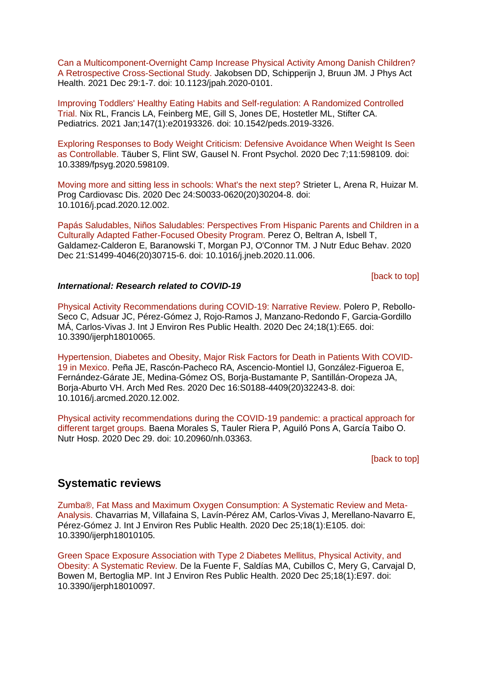[Can a Multicomponent-Overnight Camp Increase Physical Activity Among Danish Children?](https://eur01.safelinks.protection.outlook.com/?url=https%3A%2F%2Fpubmed.ncbi.nlm.nih.gov%2F33373978%2F&data=04%7C01%7CMaggie.Graham%40phe.gov.uk%7C802d34b5f9f84b8b50d108d8b157083b%7Cee4e14994a354b2ead475f3cf9de8666%7C0%7C0%7C637454334640699307%7CUnknown%7CTWFpbGZsb3d8eyJWIjoiMC4wLjAwMDAiLCJQIjoiV2luMzIiLCJBTiI6Ik1haWwiLCJXVCI6Mn0%3D%7C1000&sdata=mDBlMFqn3nYP%2By11oGairV6mxDezMUMW6gERI3u7fiA%3D&reserved=0)  [A Retrospective Cross-Sectional Study. J](https://eur01.safelinks.protection.outlook.com/?url=https%3A%2F%2Fpubmed.ncbi.nlm.nih.gov%2F33373978%2F&data=04%7C01%7CMaggie.Graham%40phe.gov.uk%7C802d34b5f9f84b8b50d108d8b157083b%7Cee4e14994a354b2ead475f3cf9de8666%7C0%7C0%7C637454334640699307%7CUnknown%7CTWFpbGZsb3d8eyJWIjoiMC4wLjAwMDAiLCJQIjoiV2luMzIiLCJBTiI6Ik1haWwiLCJXVCI6Mn0%3D%7C1000&sdata=mDBlMFqn3nYP%2By11oGairV6mxDezMUMW6gERI3u7fiA%3D&reserved=0)akobsen DD, Schipperijn J, Bruun JM. J Phys Act Health. 2021 Dec 29:1-7. doi: 10.1123/jpah.2020-0101.

[Improving Toddlers' Healthy Eating Habits and Self-regulation: A Randomized Controlled](https://eur01.safelinks.protection.outlook.com/?url=https%3A%2F%2Fpubmed.ncbi.nlm.nih.gov%2F33372118%2F&data=04%7C01%7CMaggie.Graham%40phe.gov.uk%7C802d34b5f9f84b8b50d108d8b157083b%7Cee4e14994a354b2ead475f3cf9de8666%7C0%7C0%7C637454334640709306%7CUnknown%7CTWFpbGZsb3d8eyJWIjoiMC4wLjAwMDAiLCJQIjoiV2luMzIiLCJBTiI6Ik1haWwiLCJXVCI6Mn0%3D%7C1000&sdata=toVBmOsgxFTRYGgY4ErhrRYk7ePVS2DH5GgoEzwmU0Q%3D&reserved=0)  [Trial. N](https://eur01.safelinks.protection.outlook.com/?url=https%3A%2F%2Fpubmed.ncbi.nlm.nih.gov%2F33372118%2F&data=04%7C01%7CMaggie.Graham%40phe.gov.uk%7C802d34b5f9f84b8b50d108d8b157083b%7Cee4e14994a354b2ead475f3cf9de8666%7C0%7C0%7C637454334640709306%7CUnknown%7CTWFpbGZsb3d8eyJWIjoiMC4wLjAwMDAiLCJQIjoiV2luMzIiLCJBTiI6Ik1haWwiLCJXVCI6Mn0%3D%7C1000&sdata=toVBmOsgxFTRYGgY4ErhrRYk7ePVS2DH5GgoEzwmU0Q%3D&reserved=0)ix RL, Francis LA, Feinberg ME, Gill S, Jones DE, Hostetler ML, Stifter CA. Pediatrics. 2021 Jan;147(1):e20193326. doi: 10.1542/peds.2019-3326.

[Exploring Responses to Body Weight Criticism: Defensive Avoidance When Weight Is Seen](https://eur01.safelinks.protection.outlook.com/?url=https%3A%2F%2Fpubmed.ncbi.nlm.nih.gov%2F33362660%2F&data=04%7C01%7CMaggie.Graham%40phe.gov.uk%7C802d34b5f9f84b8b50d108d8b157083b%7Cee4e14994a354b2ead475f3cf9de8666%7C0%7C0%7C637454334640709306%7CUnknown%7CTWFpbGZsb3d8eyJWIjoiMC4wLjAwMDAiLCJQIjoiV2luMzIiLCJBTiI6Ik1haWwiLCJXVCI6Mn0%3D%7C1000&sdata=%2BgEE%2BV4hwtggP8viwSeJdKVIk%2By2aTlAsHKIr2Huqic%3D&reserved=0)  [as Controllable. T](https://eur01.safelinks.protection.outlook.com/?url=https%3A%2F%2Fpubmed.ncbi.nlm.nih.gov%2F33362660%2F&data=04%7C01%7CMaggie.Graham%40phe.gov.uk%7C802d34b5f9f84b8b50d108d8b157083b%7Cee4e14994a354b2ead475f3cf9de8666%7C0%7C0%7C637454334640709306%7CUnknown%7CTWFpbGZsb3d8eyJWIjoiMC4wLjAwMDAiLCJQIjoiV2luMzIiLCJBTiI6Ik1haWwiLCJXVCI6Mn0%3D%7C1000&sdata=%2BgEE%2BV4hwtggP8viwSeJdKVIk%2By2aTlAsHKIr2Huqic%3D&reserved=0)äuber S, Flint SW, Gausel N. Front Psychol. 2020 Dec 7;11:598109. doi: 10.3389/fpsyg.2020.598109.

[Moving more and sitting less in schools: What's the next step? S](https://eur01.safelinks.protection.outlook.com/?url=https%3A%2F%2Fpubmed.ncbi.nlm.nih.gov%2F33359568%2F&data=04%7C01%7CMaggie.Graham%40phe.gov.uk%7C802d34b5f9f84b8b50d108d8b157083b%7Cee4e14994a354b2ead475f3cf9de8666%7C0%7C0%7C637454334640719302%7CUnknown%7CTWFpbGZsb3d8eyJWIjoiMC4wLjAwMDAiLCJQIjoiV2luMzIiLCJBTiI6Ik1haWwiLCJXVCI6Mn0%3D%7C1000&sdata=0AAQAEK%2B6Yy1CBif4IeK0dZTr%2FJ%2B77MnC5KQK607zJ8%3D&reserved=0)trieter L, Arena R, Huizar M. Prog Cardiovasc Dis. 2020 Dec 24:S0033-0620(20)30204-8. doi: 10.1016/j.pcad.2020.12.002.

[Papás Saludables, Niños Saludables: Perspectives From Hispanic Parents](https://eur01.safelinks.protection.outlook.com/?url=https%3A%2F%2Fpubmed.ncbi.nlm.nih.gov%2F33358181%2F&data=04%7C01%7CMaggie.Graham%40phe.gov.uk%7C802d34b5f9f84b8b50d108d8b157083b%7Cee4e14994a354b2ead475f3cf9de8666%7C0%7C0%7C637454334640729298%7CUnknown%7CTWFpbGZsb3d8eyJWIjoiMC4wLjAwMDAiLCJQIjoiV2luMzIiLCJBTiI6Ik1haWwiLCJXVCI6Mn0%3D%7C1000&sdata=W%2FjVVvGf6TB%2FWm%2B0BivqYswPDcaEl3kDg6p59ln8kG0%3D&reserved=0) and Children in a [Culturally Adapted Father-Focused Obesity Program. P](https://eur01.safelinks.protection.outlook.com/?url=https%3A%2F%2Fpubmed.ncbi.nlm.nih.gov%2F33358181%2F&data=04%7C01%7CMaggie.Graham%40phe.gov.uk%7C802d34b5f9f84b8b50d108d8b157083b%7Cee4e14994a354b2ead475f3cf9de8666%7C0%7C0%7C637454334640729298%7CUnknown%7CTWFpbGZsb3d8eyJWIjoiMC4wLjAwMDAiLCJQIjoiV2luMzIiLCJBTiI6Ik1haWwiLCJXVCI6Mn0%3D%7C1000&sdata=W%2FjVVvGf6TB%2FWm%2B0BivqYswPDcaEl3kDg6p59ln8kG0%3D&reserved=0)erez O, Beltran A, Isbell T, Galdamez-Calderon E, Baranowski T, Morgan PJ, O'Connor TM. J Nutr Educ Behav. 2020 Dec 21:S1499-4046(20)30715-6. doi: 10.1016/j.jneb.2020.11.006.

[\[back to top\]](#page-0-2)

#### *International: Research related to COVID-19*

[Physical Activity Recommendations during COVID-19: Narrative Review. P](https://eur01.safelinks.protection.outlook.com/?url=https%3A%2F%2Fpubmed.ncbi.nlm.nih.gov%2F33374109%2F&data=04%7C01%7CMaggie.Graham%40phe.gov.uk%7C802d34b5f9f84b8b50d108d8b157083b%7Cee4e14994a354b2ead475f3cf9de8666%7C0%7C0%7C637454334640429470%7CUnknown%7CTWFpbGZsb3d8eyJWIjoiMC4wLjAwMDAiLCJQIjoiV2luMzIiLCJBTiI6Ik1haWwiLCJXVCI6Mn0%3D%7C1000&sdata=O2tV2xpWfFF%2FKVXbEXMT03TKVBN89u5PDkczoVwcl2o%3D&reserved=0)olero P, Rebollo-Seco C, Adsuar JC, Pérez-Gómez J, Rojo-Ramos J, Manzano-Redondo F, Garcia-Gordillo MÁ, Carlos-Vivas J. Int J Environ Res Public Health. 2020 Dec 24;18(1):E65. doi: 10.3390/ijerph18010065.

[Hypertension, Diabetes and Obesity, Major Risk Factors for Death in Patients With COVID-](https://eur01.safelinks.protection.outlook.com/?url=https%3A%2F%2Fpubmed.ncbi.nlm.nih.gov%2F33380361%2F&data=04%7C01%7CMaggie.Graham%40phe.gov.uk%7C802d34b5f9f84b8b50d108d8b157083b%7Cee4e14994a354b2ead475f3cf9de8666%7C0%7C0%7C637454334640509422%7CUnknown%7CTWFpbGZsb3d8eyJWIjoiMC4wLjAwMDAiLCJQIjoiV2luMzIiLCJBTiI6Ik1haWwiLCJXVCI6Mn0%3D%7C1000&sdata=FGX4xHDivzwpaIJJVuoISrIXRRxxutDTnoXQMJjoYgw%3D&reserved=0)[19 in Mexico. P](https://eur01.safelinks.protection.outlook.com/?url=https%3A%2F%2Fpubmed.ncbi.nlm.nih.gov%2F33380361%2F&data=04%7C01%7CMaggie.Graham%40phe.gov.uk%7C802d34b5f9f84b8b50d108d8b157083b%7Cee4e14994a354b2ead475f3cf9de8666%7C0%7C0%7C637454334640509422%7CUnknown%7CTWFpbGZsb3d8eyJWIjoiMC4wLjAwMDAiLCJQIjoiV2luMzIiLCJBTiI6Ik1haWwiLCJXVCI6Mn0%3D%7C1000&sdata=FGX4xHDivzwpaIJJVuoISrIXRRxxutDTnoXQMJjoYgw%3D&reserved=0)eña JE, Rascón-Pacheco RA, Ascencio-Montiel IJ, González-Figueroa E, Fernández-Gárate JE, Medina-Gómez OS, Borja-Bustamante P, Santillán-Oropeza JA, Borja-Aburto VH. Arch Med Res. 2020 Dec 16:S0188-4409(20)32243-8. doi: 10.1016/j.arcmed.2020.12.002.

[Physical activity recommendations during the COVID-19 pandemic: a practical approach for](https://eur01.safelinks.protection.outlook.com/?url=https%3A%2F%2Fpubmed.ncbi.nlm.nih.gov%2F33371695%2F&data=04%7C01%7CMaggie.Graham%40phe.gov.uk%7C802d34b5f9f84b8b50d108d8b157083b%7Cee4e14994a354b2ead475f3cf9de8666%7C0%7C0%7C637454334640699307%7CUnknown%7CTWFpbGZsb3d8eyJWIjoiMC4wLjAwMDAiLCJQIjoiV2luMzIiLCJBTiI6Ik1haWwiLCJXVCI6Mn0%3D%7C1000&sdata=eb1f3C2EroqVvmSFgQ2QXDaJpCj6XXdUnuwOwmDGs%2FY%3D&reserved=0)  [different target groups. B](https://eur01.safelinks.protection.outlook.com/?url=https%3A%2F%2Fpubmed.ncbi.nlm.nih.gov%2F33371695%2F&data=04%7C01%7CMaggie.Graham%40phe.gov.uk%7C802d34b5f9f84b8b50d108d8b157083b%7Cee4e14994a354b2ead475f3cf9de8666%7C0%7C0%7C637454334640699307%7CUnknown%7CTWFpbGZsb3d8eyJWIjoiMC4wLjAwMDAiLCJQIjoiV2luMzIiLCJBTiI6Ik1haWwiLCJXVCI6Mn0%3D%7C1000&sdata=eb1f3C2EroqVvmSFgQ2QXDaJpCj6XXdUnuwOwmDGs%2FY%3D&reserved=0)aena Morales S, Tauler Riera P, Aguiló Pons A, García Taibo O. Nutr Hosp. 2020 Dec 29. doi: 10.20960/nh.03363.

[\[back to top\]](#page-0-2)

### <span id="page-4-0"></span>**Systematic reviews**

[Zumba®, Fat Mass and Maximum Oxygen Consumption: A Systematic Review and Meta-](https://eur01.safelinks.protection.outlook.com/?url=https%3A%2F%2Fpubmed.ncbi.nlm.nih.gov%2F33375758%2F&data=04%7C01%7CMaggie.Graham%40phe.gov.uk%7C802d34b5f9f84b8b50d108d8b157083b%7Cee4e14994a354b2ead475f3cf9de8666%7C0%7C0%7C637454334640449456%7CUnknown%7CTWFpbGZsb3d8eyJWIjoiMC4wLjAwMDAiLCJQIjoiV2luMzIiLCJBTiI6Ik1haWwiLCJXVCI6Mn0%3D%7C1000&sdata=usA%2FWbD9mq7euKtTXaJnbO6ZvGaU213VeZCS4vp9%2BT8%3D&reserved=0)[Analysis.](https://eur01.safelinks.protection.outlook.com/?url=https%3A%2F%2Fpubmed.ncbi.nlm.nih.gov%2F33375758%2F&data=04%7C01%7CMaggie.Graham%40phe.gov.uk%7C802d34b5f9f84b8b50d108d8b157083b%7Cee4e14994a354b2ead475f3cf9de8666%7C0%7C0%7C637454334640449456%7CUnknown%7CTWFpbGZsb3d8eyJWIjoiMC4wLjAwMDAiLCJQIjoiV2luMzIiLCJBTiI6Ik1haWwiLCJXVCI6Mn0%3D%7C1000&sdata=usA%2FWbD9mq7euKtTXaJnbO6ZvGaU213VeZCS4vp9%2BT8%3D&reserved=0) Chavarrias M, Villafaina S, Lavín-Pérez AM, Carlos-Vivas J, Merellano-Navarro E, Pérez-Gómez J. Int J Environ Res Public Health. 2020 Dec 25;18(1):E105. doi: 10.3390/ijerph18010105.

[Green Space Exposure Association with Type 2 Diabetes Mellitus, Physical Activity, and](https://eur01.safelinks.protection.outlook.com/?url=https%3A%2F%2Fpubmed.ncbi.nlm.nih.gov%2F33375559%2F&data=04%7C01%7CMaggie.Graham%40phe.gov.uk%7C802d34b5f9f84b8b50d108d8b157083b%7Cee4e14994a354b2ead475f3cf9de8666%7C0%7C0%7C637454334640659341%7CUnknown%7CTWFpbGZsb3d8eyJWIjoiMC4wLjAwMDAiLCJQIjoiV2luMzIiLCJBTiI6Ik1haWwiLCJXVCI6Mn0%3D%7C1000&sdata=caHo6hKyhZv5bF%2F5LZL%2F7qnk5GoN7jbcgAc2ivpEaBc%3D&reserved=0)  [Obesity: A Systematic Review. D](https://eur01.safelinks.protection.outlook.com/?url=https%3A%2F%2Fpubmed.ncbi.nlm.nih.gov%2F33375559%2F&data=04%7C01%7CMaggie.Graham%40phe.gov.uk%7C802d34b5f9f84b8b50d108d8b157083b%7Cee4e14994a354b2ead475f3cf9de8666%7C0%7C0%7C637454334640659341%7CUnknown%7CTWFpbGZsb3d8eyJWIjoiMC4wLjAwMDAiLCJQIjoiV2luMzIiLCJBTiI6Ik1haWwiLCJXVCI6Mn0%3D%7C1000&sdata=caHo6hKyhZv5bF%2F5LZL%2F7qnk5GoN7jbcgAc2ivpEaBc%3D&reserved=0)e la Fuente F, Saldías MA, Cubillos C, Mery G, Carvajal D, Bowen M, Bertoglia MP. Int J Environ Res Public Health. 2020 Dec 25;18(1):E97. doi: 10.3390/ijerph18010097.